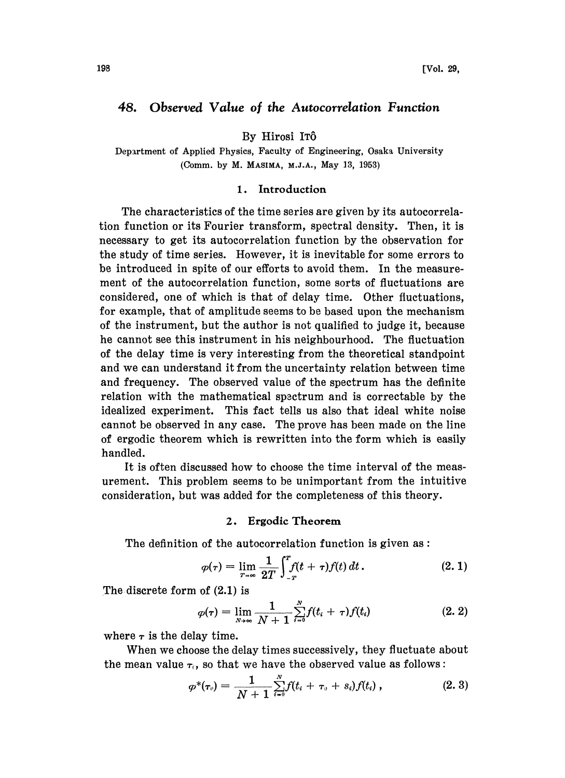# 48. Observed Value of the Autocorrelation Function

By Hirosi IT6

Depxrtment of Applied Physics, Faculty of Engineering, Osaka University (Comm. by M. MASlMA, M.J.A., May 13, 1953)

## 1. Introduction

The characteristics of the time series are given by its autocorrelation function or its Fourier transform, spectral density. Then, it is necessary to get its autocorrelation function by the observation for the study of time series. However, it is inevitable for some errors to be introduced in spite of our efforts to avoid them. In the measurement of the autocorrelation function, some sorts of fluctuations are considered, one of which is that of delay time. Other fluctuations, for example, that of amplitude seems to be based upon the mechanism of the instrument, but the author is not qualified to judge it, because he cannot see this instrument in his neighbourhood. The fluctuation of the delay time is very interesting from the theoretical standpoint and we can understand it from the uncertainty relation between time and frequency. The observed value of the spectrum has the definite relation with the mathematical spectrum and is correctable by the idealized experiment. This fact tells us also that ideal white noise cannot be observed in any case. The prove has been made on the line of ergodic theorem which is rewritten into the form which is easily handled.

It is often discussed how to choose the time interval of the measurement. This problem seems to be unimportant from the intuitive consideration, but was added for the completeness of this theory.

## 2. Ergodie Theorem

The definition of the autocorrelation function is given as:

$$
\varphi(\tau) = \lim_{T \to \infty} \frac{1}{2T} \int_{-T}^{T} f(t + \tau) f(t) dt.
$$
 (2.1)

The discrete form of  $(2.1)$  is

$$
\varphi(\tau) = \lim_{T \to \infty} \frac{1}{2T} \int_{-T}^{T} f(t + \tau) f(t) dt.
$$
\n(2.1)

\nof (2.1) is

\n
$$
\varphi(\tau) = \lim_{N \to \infty} \frac{1}{N + 1} \sum_{i=0}^{N} f(t_i + \tau) f(t_i)
$$
\n(2.2)

where  $\tau$  is the delay time.

When we choose the delay times successively, they fluctuate about the mean value  $\tau_c$ , so that we have the observed value as follows:

$$
\varphi^*(\tau_v) = \frac{1}{N+1} \sum_{i=0}^N f(t_i + \tau_v + s_i) f(t_i) , \qquad (2.3)
$$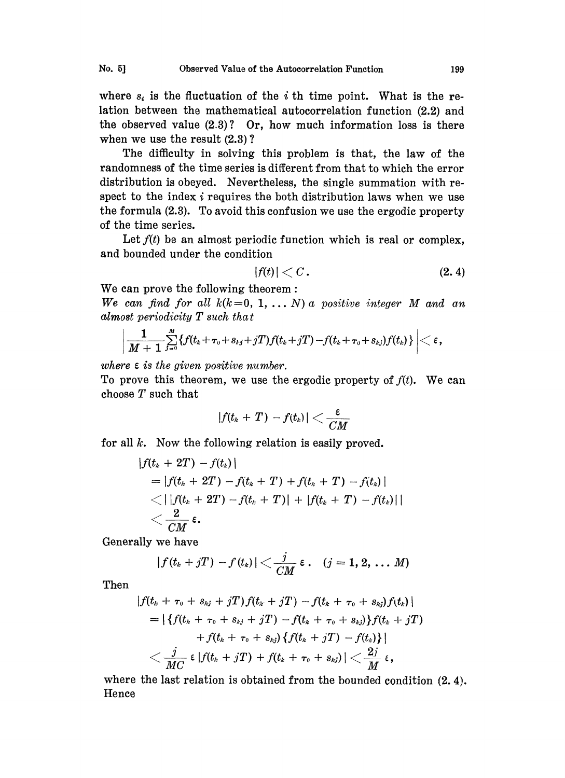where  $s_i$  is the fluctuation of the *i* th time point. What is the relation between the mathematical autocorrelation function (2.2) and the observed value  $(2.3)$ ? Or, how much information loss is there when we use the result  $(2.3)$ ?

The difficulty in solving this problem is that, the law of the randomness of the time series is different from that to which the error distribution is obeyed. Nevertheless, the single summation with respect to the index  $i$  requires the both distribution laws when we use the formula (2.3). To avoid this confusion we use the ergodic property of the time series.

Let  $f(t)$  be an almost periodic function which is real or complex, and bounded under the condition

$$
|f(t)| < C. \tag{2.4}
$$

We can prove the following theorem:

We can find for all  $k(k=0, 1, \ldots N)$  a positive integer M and an almost periodicity  $T$  such that

$$
\bigg| \frac{1}{M+1} \sum_{j=0}^M \{ f(t_k+\tau_{\scriptscriptstyle 0}+s_{kj}+jT)f(t_k+jT) - f(t_k+\tau_{\scriptscriptstyle 0}+s_{kj})f(t_k) \, \} \, \bigg| < \varepsilon \, ,
$$

where  $\varepsilon$  is the given positive number.

To prove this theorem, we use the ergodic property of  $f(t)$ . We can choose T such that

$$
|f(t_k+T)-f(t_k)|<\frac{\varepsilon}{CM}
$$

for all  $k$ . Now the following relation is easily proved.

$$
\begin{aligned} &|f(t_k+2T)-f(t_k)| \\ &=|f(t_k+2T)-f(t_k+T)+f(t_k+T)-f(t_k)| \\ &<||f(t_k+2T)-f(t_k+T)|+|f(t_k+T)-f(t_k)|| \\ &<\frac{2}{CM}\,\epsilon. \end{aligned}
$$

Generally we have

$$
|f(t_k+jT)-f(t_k)|<\frac{j}{CM}\epsilon\,.\quad (j=1,2,\ldots M)
$$

Then

$$
|f(t_k + \tau_0 + s_{kj} + jT) f(t_k + jT) - f(t_k + \tau_0 + s_{kj}) f(t_k)|
$$
  
=  $|\{f(t_k + \tau_0 + s_{kj} + jT) - f(t_k + \tau_0 + s_{kj})\} f(t_k + jT) + f(t_k + \tau_0 + s_{kj}) \{f(t_k + jT) - f(t_k)\}|\n $\langle \frac{j}{MC} \epsilon | f(t_k + jT) + f(t_k + \tau_0 + s_{kj}) | \langle \frac{2j}{M} \epsilon,$$ 

where the last relation is obtained from the bounded condition  $(2, 4)$ . Hence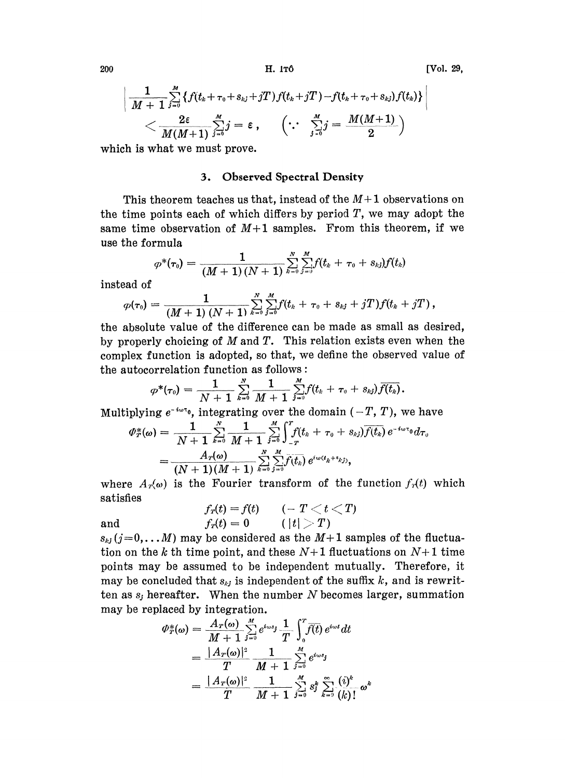200 H. ITÔ [Vol. 29,

$$
\left|\frac{1}{M+1}\sum\limits_{j=0}^M\left\{f(t_k+\tau_0+s_{kj}+jT)f(t_k+jT)-f(t_k+\tau_0+s_{kj})f(t_k)\right\}\right|\\\leq \frac{2\varepsilon}{M(M+1)}\sum\limits_{j=0}^M j=\varepsilon\ ,\quad \ \left(\because\ \sum\limits_{j=0}^M j=\frac{M(M+1)}{2}\right)
$$

which is what we must prove.

#### 3. Observed Spectral Density

This theorem teaches us that, instead of the  $M+1$  observations on the time points each of which differs by period  $T$ , we may adopt the same time observation of  $M+1$  samples. From this theorem, if we use the formula

$$
\varphi^*(\pmb{\tau}_0) = \frac{1}{(M+1)(N+1)}\sum_{k=0}^N\sum_{j=0}^M f(t_k+\tau_0+s_{kj})f(t_k)
$$

instead of

$$
\varphi(\tau_0) = \frac{1}{(M+1) (N+1)} \sum_{k=0}^{N} \sum_{j=0}^{M} f(t_k + \tau_0 + s_{kj} + jT) f(t_k + jT),
$$

he absolute value of the difference can be made as small as desired, by properly choicing of  $M$  and  $T$ . This relation exists even when the complex function is adopted, so that, we define the observed value of the autocorrelation function as follows:

$$
\varphi^*(\tau_0) = \frac{1}{N+1} \sum_{k=0}^N \frac{1}{M+1} \sum_{j=0}^M f(t_k + \tau_0 + s_{kj}) \overline{f(t_k)}.
$$

Multiplying  $e^{-i\omega\tau_0}$ , integrating over the domain  $(-T, T)$ , we have

$$
\varPhi^*_{T}(\omega) = \frac{1}{N+1} \sum_{k=0}^N \frac{1}{M+1} \sum_{j=0}^M \int_{-T}^T f(t_k + \tau_0 + s_{kj}) \overline{f(t_k)} \, e^{-i\omega \tau_0} d\tau_0
$$
\n
$$
= \frac{A_T(\omega)}{(N+1)(M+1)} \sum_{k=0}^N \sum_{j=0}^M \overline{f(t_k)} \, e^{i\omega (t_k + s_{kj})},
$$

where  $A_{r}(\omega)$  is the Fourier transform of the function  $f_{r}(t)$  which satisfies

$$
f_{\textit{r}}(t) = f(t) \qquad (- \; T < t < T) \newline \text{and} \qquad \qquad f_{\textit{r}}(t) = 0 \qquad (\; |t| > T)
$$

 $s_{ki}$  (j=0,...M) may be considered as the M+1 samples of the fluctuation on the k th time point, and these  $N+1$  fluctuations on  $N+1$  time points may be assumed to be independent mutually. Therefore, it may be concluded that  $s_{kj}$  is independent of the suffix k, and is rewritten as  $s_j$  hereafter. When the number N becomes larger, summation may be replaced by integration.

$$
\begin{split} \phi_{T}^{*}(\omega) &= \frac{A_{T}(\omega)}{M+1} \sum_{j=0}^{M} e^{i\omega s_{j}} \frac{1}{T} \int_{0}^{T} \overline{f(t)} \, e^{i\omega t} dt \\ &= \frac{|A_{T}(\omega)|^{2}}{T} \frac{1}{M+1} \sum_{j=0}^{M} e^{i\omega s_{j}} \\ &= \frac{|A_{T}(\omega)|^{2}}{T} \frac{1}{M+1} \sum_{j=0}^{M} s_{j}^{k} \sum_{k=0}^{\infty} \frac{(i)^{k}}{(k)!} \, \omega^{k} \end{split}
$$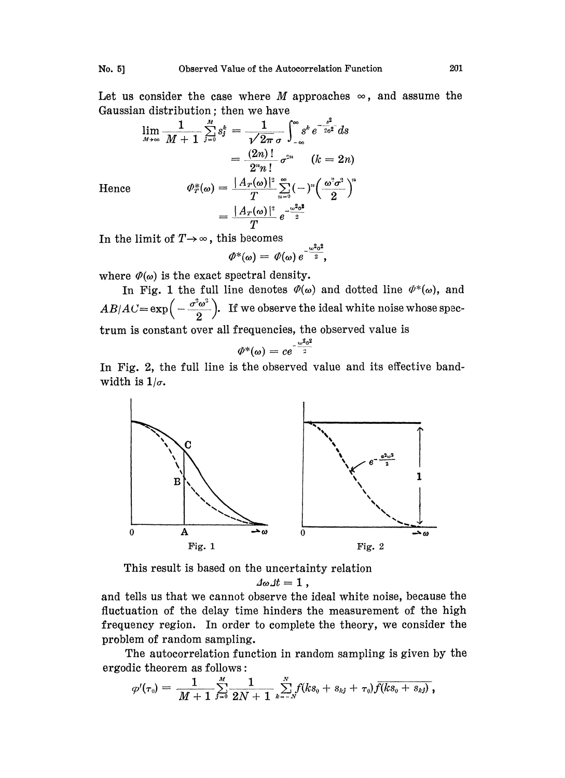Let us consider the case where M approaches  $\infty$ , and assume the Gaussian distribution; then we have

$$
\lim_{M \to \infty} \frac{1}{M+1} \sum_{j=0}^{M} s_j^k = \frac{1}{\sqrt{2\pi} \sigma} \int_{-\infty}^{\infty} s^k e^{-\frac{s^2}{2\sigma^2}} ds
$$

$$
= \frac{(2n)!}{2^n n!} \sigma^{2n} \qquad (k = 2n)
$$
  
Hence 
$$
\Phi_T^*(\omega) = \frac{|A_T(\omega)|^2}{T} \sum_{n=0}^{\infty} (-)^n \left(\frac{\omega^2 \sigma^2}{2}\right)^n
$$

$$
= \frac{|A_T(\omega)|^2}{T} e^{-\frac{\omega^2 \sigma^2}{2}}
$$

In the limit of 
$$
T \rightarrow \infty
$$
, this becomes

$$
\varPhi^*(\omega) = \varPhi(\omega) e^{-\frac{\omega^2 \sigma^2}{2}},
$$

where  $\varPhi(\omega)$  is the exact spectral density.

In Fig. 1 the full line denotes  $\varPhi(\omega)$  and dotted line  $\varPhi^*(\omega)$ , and  $AB/AC = \exp\Big(-\frac{\sigma^2\omega^2}{2}\Big)$ . If we observe the ideal white noise whose spectrum is constant over all frequencies, the observed value is

$$
\varPhi^*(\omega)=ce^{-\frac{\omega^2\sigma^2}{2}}
$$

In Fig. 2, the full line is the observed value and its effective bandwidth is  $1/\sigma$ .



This result is based on the uncertainty relation

$$
\Delta \omega \Delta t = 1,
$$

and tells us that we cannot observe the ideal white noise, because the fluctuation of the delay time hinders the measurement of the high frequency region. In order to complete the theory, we consider the problem of random sampling.

The autocorrelation function in random sampling is given by the ergodic theorem as follows:

$$
\varphi'(\tau_0) = \frac{1}{M+1} \sum_{j=0}^M \frac{1}{2N+1} \sum_{k=-N}^N f(ks_0 + s_{kj} + \tau_0) \overline{f(ks_0 + s_{kj})},
$$